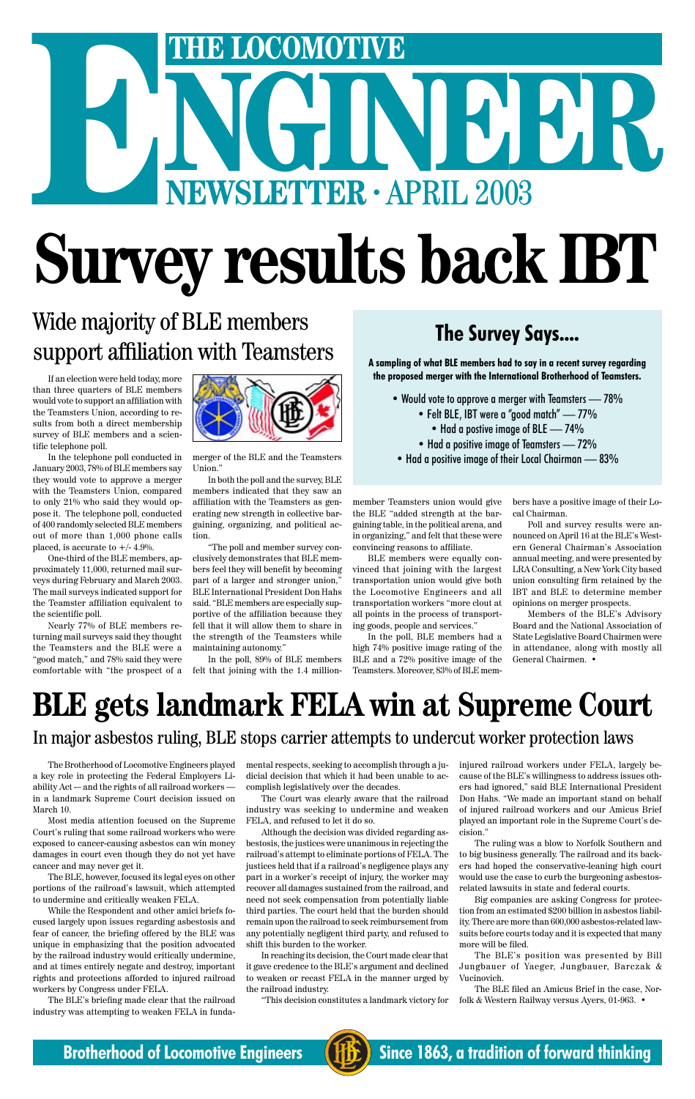# THE LOCOMOTIVE<br>
NEWSLETTER · APRIL 2003 **ENEXT LOCOMOTIVE**<br> **ENEWSLETTER · APRIL 2003**

# **Survey results back IBT**

In the telephone poll conducted in January 2003, 78% of BLE members say they would vote to approve a merger with the Teamsters Union, compared to only 21% who said they would oppose it. The telephone poll, conducted of 400 randomly selected BLE members out of more than 1,000 phone calls placed, is accurate to  $+/- 4.9\%$ .

If an election were held today, more than three quarters of BLE members would vote to support an affiliation with the Teamsters Union, according to results from both a direct membership survey of BLE members and a scientific telephone poll.

One-third of the BLE members, approximately 11,000, returned mail surveys during February and March 2003. The mail surveys indicated support for the Teamster affiliation equivalent to the scientific poll.

Nearly 77% of BLE members returning mail surveys said they thought the Teamsters and the BLE were a "good match," and 78% said they were comfortable with "the prospect of a



merger of the BLE and the Teamsters Union."

In both the poll and the survey, BLE members indicated that they saw an affiliation with the Teamsters as generating new strength in collective bargaining, organizing, and political action.

"The poll and member survey conclusively demonstrates that BLE members feel they will benefit by becoming part of a larger and stronger union," BLE International President Don Hahs said. "BLE members are especially supportive of the affiliation because they fell that it will allow them to share in the strength of the Teamsters while maintaining autonomy."

- Would vote to approve a merger with Teamsters  $-78\%$ 
	- Felt BLE, IBT were a "good match" 77%
		- Had a postive image of BLE 74%
	- Had a positive image of Teamsters 72%
- Had a positive image of their Local Chairman 83%

In the poll, 89% of BLE members felt that joining with the 1.4 million-

member Teamsters union would give the BLE "added strength at the bargaining table, in the political arena, and in organizing," and felt that these were convincing reasons to affiliate.

BLE members were equally convinced that joining with the largest transportation union would give both the Locomotive Engineers and all transportation workers "more clout at all points in the process of transporting goods, people and services."

In the poll, BLE members had a high 74% positive image rating of the BLE and a 72% positive image of the Teamsters. Moreover, 83% of BLE members have a positive image of their Local Chairman.

Poll and survey results were announced on April 16 at the BLE's Western General Chairman's Association annual meeting, and were presented by LRA Consulting, a New York City based union consulting firm retained by the IBT and BLE to determine member opinions on merger prospects.

Members of the BLE's Advisory Board and the National Association of State Legislative Board Chairmen were in attendance, along with mostly all General Chairmen. •

# Wide majority of BLE members support affiliation with Teamsters **The Survey Says....**

**A sampling of what BLE members had to say in a recent survey regarding the proposed merger with the International Brotherhood of Teamsters.**

The Brotherhood of Locomotive Engineers played a key role in protecting the Federal Employers Liability Act -– and the rights of all railroad workers in a landmark Supreme Court decision issued on

March 10.

Most media attention focused on the Supreme Court's ruling that some railroad workers who were exposed to cancer-causing asbestos can win money damages in court even though they do not yet have cancer and may never get it.

The BLE, however, focused its legal eyes on other portions of the railroad's lawsuit, which attempted to undermine and critically weaken FELA.

While the Respondent and other amici briefs focused largely upon issues regarding asbestosis and fear of cancer, the briefing offered by the BLE was unique in emphasizing that the position advocated by the railroad industry would critically undermine, and at times entirely negate and destroy, important rights and protections afforded to injured railroad workers by Congress under FELA.

The BLE's briefing made clear that the railroad industry was attempting to weaken FELA in fundamental respects, seeking to accomplish through a judicial decision that which it had been unable to accomplish legislatively over the decades.

The Court was clearly aware that the railroad industry was seeking to undermine and weaken FELA, and refused to let it do so.

Although the decision was divided regarding asbestosis, the justices were unanimous in rejecting the railroad's attempt to eliminate portions of FELA. The justices held that if a railroad's negligence plays any part in a worker's receipt of injury, the worker may recover all damages sustained from the railroad, and need not seek compensation from potentially liable third parties. The court held that the burden should remain upon the railroad to seek reimbursement from any potentially negligent third party, and refused to shift this burden to the worker.

In reaching its decision, the Court made clear that it gave credence to the BLE's argument and declined to weaken or recast FELA in the manner urged by the railroad industry.

"This decision constitutes a landmark victory for

injured railroad workers under FELA, largely because of the BLE's willingness to address issues others had ignored," said BLE International President Don Hahs. "We made an important stand on behalf of injured railroad workers and our Amicus Brief played an important role in the Supreme Court's decision."

The ruling was a blow to Norfolk Southern and to big business generally. The railroad and its backers had hoped the conservative-leaning high court would use the case to curb the burgeoning asbestosrelated lawsuits in state and federal courts.

Big companies are asking Congress for protection from an estimated \$200 billion in asbestos liability. There are more than 600,000 asbestos-related lawsuits before courts today and it is expected that many more will be filed.

The BLE's position was presented by Bill Jungbauer of Yaeger, Jungbauer, Barczak & Vucinovich.

The BLE filed an Amicus Brief in the case, Norfolk & Western Railway versus Ayers, 01-963. •

## **Brotherhood of Locomotive Engineers (HE)** Since 1863, a tradition of forward thinking



# **BLE gets landmark FELA win at Supreme Court** In major asbestos ruling, BLE stops carrier attempts to undercut worker protection laws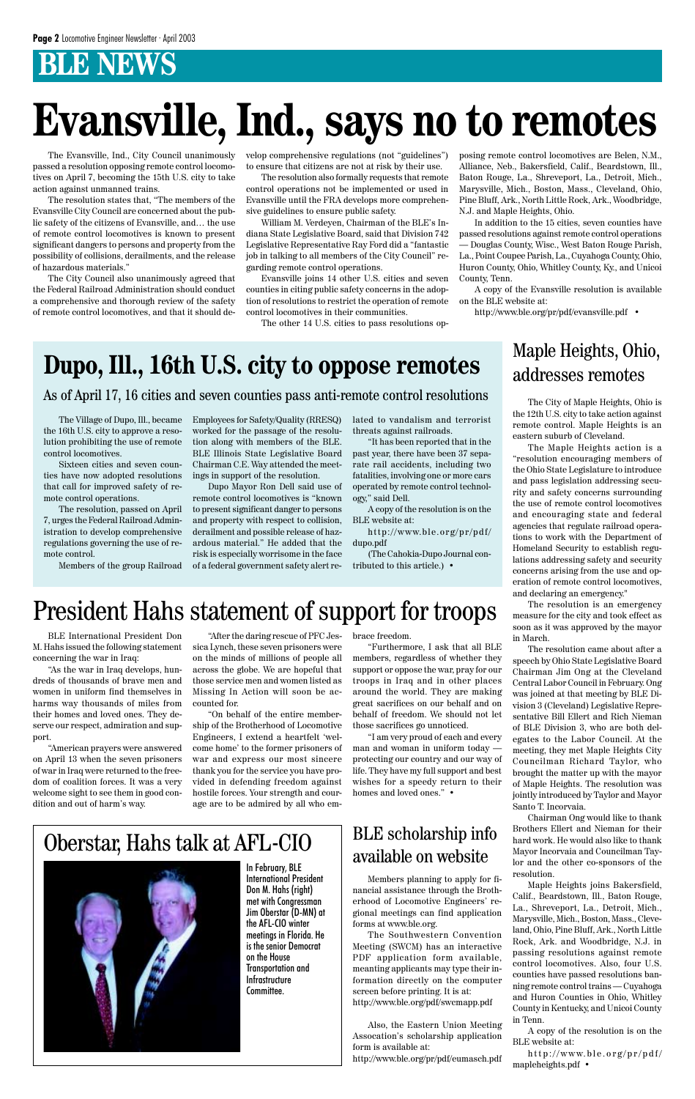# **Dupo, Ill., 16th U.S. city to oppose remotes**

The City of Maple Heights, Ohio is the 12th U.S. city to take action against remote control. Maple Heights is an eastern suburb of Cleveland.

The Maple Heights action is a "resolution encouraging members of the Ohio State Legislature to introduce and pass legislation addressing security and safety concerns surrounding the use of remote control locomotives and encouraging state and federal agencies that regulate railroad operations to work with the Department of Homeland Security to establish regulations addressing safety and security concerns arising from the use and operation of remote control locomotives, and declaring an emergency."

The resolution is an emergency measure for the city and took effect as soon as it was approved by the mayor in March.

The resolution came about after a speech by Ohio State Legislative Board Chairman Jim Ong at the Cleveland Central Labor Council in February. Ong was joined at that meeting by BLE Division 3 (Cleveland) Legislative Representative Bill Ellert and Rich Nieman of BLE Division 3, who are both delegates to the Labor Council. At the meeting, they met Maple Heights City Councilman Richard Taylor, who brought the matter up with the mayor of Maple Heights. The resolution was jointly introduced by Taylor and Mayor Santo T. Incorvaia.

Chairman Ong would like to thank Brothers Ellert and Nieman for their hard work. He would also like to thank Mayor Incorvaia and Councilman Taylor and the other co-sponsors of the resolution.

Maple Heights joins Bakersfield, Calif., Beardstown, Ill., Baton Rouge, La., Shreveport, La., Detroit, Mich., Marysville, Mich., Boston, Mass., Cleveland, Ohio, Pine Bluff, Ark., North Little Rock, Ark. and Woodbridge, N.J. in passing resolutions against remote control locomotives. Also, four U.S. counties have passed resolutions banning remote control trains — Cuyahoga and Huron Counties in Ohio, Whitley County in Kentucky, and Unicoi County in Tenn.

A copy of the resolution is on the BLE website at:

http://www.ble.org/pr/pdf/ mapleheights.pdf •

The Village of Dupo, Ill., became the 16th U.S. city to approve a resolution prohibiting the use of remote control locomotives.

Sixteen cities and seven counties have now adopted resolutions that call for improved safety of remote control operations.

The resolution, passed on April 7, urges the Federal Railroad Administration to develop comprehensive regulations governing the use of remote control.

Members of the group Railroad

BLE International President Don M. Hahs issued the following statement concerning the war in Iraq:

"As the war in Iraq develops, hundreds of thousands of brave men and women in uniform find themselves in harms way thousands of miles from their homes and loved ones. They deserve our respect, admiration and support.

"American prayers were answered on April 13 when the seven prisoners of war in Iraq were returned to the freedom of coalition forces. It was a very welcome sight to see them in good con-

# **Evansville, Ind., says no to remotes**

Employees for Safety/Quality (RRESQ) worked for the passage of the resolution along with members of the BLE. BLE Illinois State Legislative Board Chairman C.E. Way attended the meetings in support of the resolution.

Dupo Mayor Ron Dell said use of remote control locomotives is "known to present significant danger to persons and property with respect to collision, derailment and possible release of hazardous material." He added that the risk is especially worrisome in the face of a federal government safety alert re-

> "I am very proud of each and every man and woman in uniform today protecting our country and our way of life. They have my full support and best wishes for a speedy return to their homes and loved ones." •

lated to vandalism and terrorist threats against railroads.

"It has been reported that in the past year, there have been 37 separate rail accidents, including two fatalities, involving one or more cars operated by remote control technology," said Dell.

A copy of the resolution is on the BLE website at:

http://www.ble.org/pr/pdf/ dupo.pdf

(The Cahokia-Dupo Journal contributed to this article.) •

The Evansville, Ind., City Council unanimously passed a resolution opposing remote control locomotives on April 7, becoming the 15th U.S. city to take action against unmanned trains.

The resolution states that, "The members of the Evansville City Council are concerned about the public safety of the citizens of Evansville, and… the use of remote control locomotives is known to present significant dangers to persons and property from the possibility of collisions, derailments, and the release of hazardous materials."

The City Council also unanimously agreed that the Federal Railroad Administration should conduct a comprehensive and thorough review of the safety of remote control locomotives, and that it should develop comprehensive regulations (not "guidelines") to ensure that citizens are not at risk by their use.

The resolution also formally requests that remote control operations not be implemented or used in Evansville until the FRA develops more comprehensive guidelines to ensure public safety.

dition and out of harm's way. "On behalf of the entire membership of the Brotherhood of Locomotive Engineers, I extend a heartfelt 'welcome home' to the former prisoners of war and express our most sincere thank you for the service you have provided in defending freedom against hostile forces. Your strength and courage are to be admired by all who em-

William M. Verdeyen, Chairman of the BLE's Indiana State Legislative Board, said that Division 742 Legislative Representative Ray Ford did a "fantastic job in talking to all members of the City Council" regarding remote control operations.

Evansville joins 14 other U.S. cities and seven counties in citing public safety concerns in the adoption of resolutions to restrict the operation of remote control locomotives in their communities.

The other 14 U.S. cities to pass resolutions op-

posing remote control locomotives are Belen, N.M., Alliance, Neb., Bakersfield, Calif., Beardstown, Ill., Baton Rouge, La., Shreveport, La., Detroit, Mich., Marysville, Mich., Boston, Mass., Cleveland, Ohio, Pine Bluff, Ark., North Little Rock, Ark., Woodbridge, N.J. and Maple Heights, Ohio.

In addition to the 15 cities, seven counties have passed resolutions against remote control operations — Douglas County, Wisc., West Baton Rouge Parish, La., Point Coupee Parish, La., Cuyahoga County, Ohio, Huron County, Ohio, Whitley County, Ky., and Unicoi County, Tenn.

A copy of the Evansville resolution is available on the BLE website at:

http://www.ble.org/pr/pdf/evansville.pdf •

### As of April 17, 16 cities and seven counties pass anti-remote control resolutions

### Maple Heights, Ohio, addresses remotes

"After the daring rescue of PFC Jessica Lynch, these seven prisoners were on the minds of millions of people all across the globe. We are hopeful that those service men and women listed as Missing In Action will soon be accounted for.

brace freedom.

"Furthermore, I ask that all BLE members, regardless of whether they support or oppose the war, pray for our troops in Iraq and in other places around the world. They are making great sacrifices on our behalf and on behalf of freedom. We should not let those sacrifices go unnoticed.

# President Hahs statement of support for troops

# Oberstar, Hahs talk at AFL-CIO



In February, BLE International President Don M. Hahs (right) met with Congressman Jim Oberstar (D-MN) at the AFL-CIO winter meetings in Florida. He is the senior Democrat on the House Transportation and Infrastructure Committee.

### BLE scholarship info available on website

Members planning to apply for financial assistance through the Brotherhood of Locomotive Engineers' regional meetings can find application forms at www.ble.org.

The Southwestern Convention Meeting (SWCM) has an interactive PDF application form available, meanting applicants may type their information directly on the computer screen before printing. It is at: http://www.ble.org/pdf/swcmapp.pdf

Also, the Eastern Union Meeting Assocation's scholarship application form is available at:

http://www.ble.org/pr/pdf/eumasch.pdf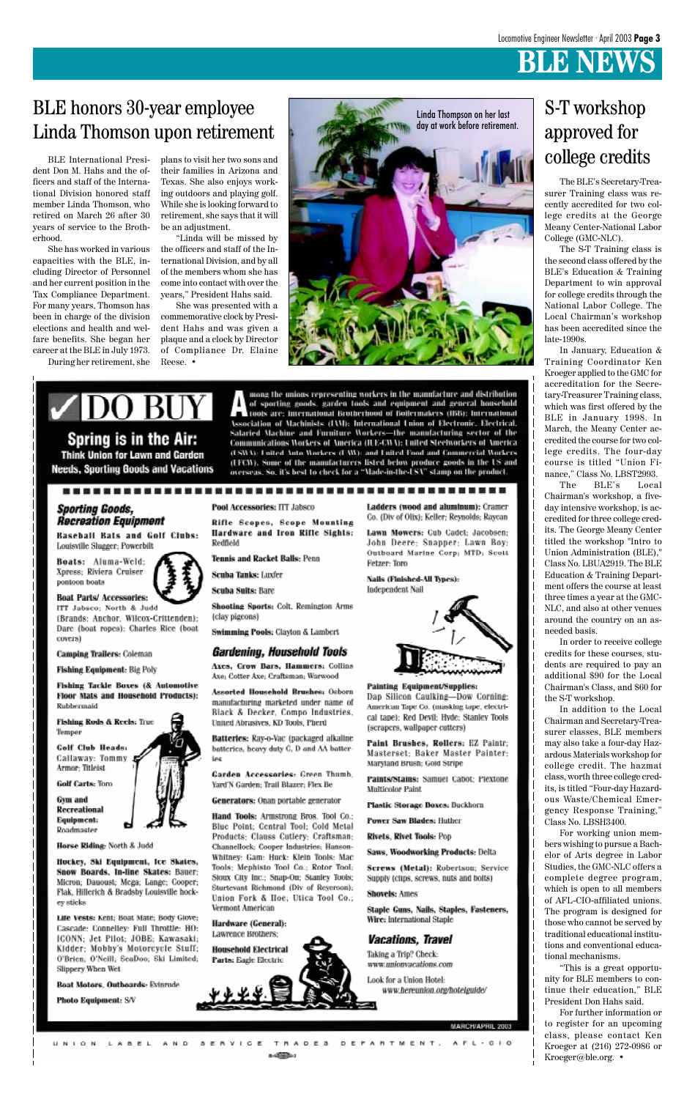BLE International President Don M. Hahs and the officers and staff of the International Division honored staff member Linda Thomson, who retired on March 26 after 30 years of service to the Brotherhood.

plans to visit her two sons and their families in Arizona and Texas. She also enjoys working outdoors and playing golf. While she is looking forward to retirement, she says that it will be an adjustment.

She has worked in various capacities with the BLE, including Director of Personnel and her current position in the Tax Compliance Department. For many years, Thomson has been in charge of the division elections and health and welfare benefits. She began her career at the BLE in July 1973.

During her retirement, she

"Linda will be missed by the officers and staff of the International Division, and by all of the members whom she has come into contact with over the years," President Hahs said.

She was presented with a commemorative clock by President Hahs and was given a plaque and a clock by Director of Compliance Dr. Elaine Reese. •

The BLE's Secretary-Treasurer Training class was recently accredited for two college credits at the George Meany Center-National Labor College (GMC-NLC).

The S-T Training class is the second class offered by the BLE's Education & Training Department to win approval for college credits through the National Labor College. The Local Chairman's workshop has been accredited since the late-1990s.

In January, Education & Training Coordinator Ken Kroeger applied to the GMC for accreditation for the Secretary-Treasurer Training class, which was first offered by the BLE in January 1998. In March, the Meany Center accredited the course for two college credits. The four-day course is titled "Union Finance," Class No. LBST2993.

The BLE's Local Chairman's workshop, a fiveday intensive workshop, is accredited for three college credits. The George Meany Center titled the workshop "Intro to Union Administration (BLE)," Class No. LBUA2919. The BLE Education & Training Department offers the course at least three times a year at the GMC-NLC, and also at other venues around the country on an asneeded basis.

In order to receive college credits for these courses, students are required to pay an additional \$90 for the Local Chairman's Class, and \$60 for the S-T workshop.

In addition to the Local Chairman and Secretary-Treasurer classes, BLE members may also take a four-day Hazardous Materials workshop for college credit. The hazmat class, worth three college credits, is titled "Four-day Hazardous Waste/Chemical Emergency Response Training," Class No. LBSH3400. For working union members wishing to pursue a Bachelor of Arts degree in Labor Studies, the GMC-NLC offers a complete degree program, which is open to all members of AFL-CIO-affiliated unions. The program is designed for those who cannot be served by traditional educational institutions and conventional educational mechanisms. "This is a great opportunity for BLE members to continue their education," BLE President Don Hahs said. For further information or to register for an upcoming class, please contact Ken Kroeger at (216) 272-0986 or Kroeger@ble.org. •





Horse Riding: North & Judd

Hockey, Ski Equipment, Ice Skates, **Snow Boards, In-line Skates: Bauer:** Micron; Dauoust; Mcga; Lange; Cooper; Flak, Hillerich & Bradsby Louisville hockey sticks

Life Vests: Kent; Boat Mate; Body Glove; Cascade: Connelley: Full Throttle: HO: ICONN; Jet Pilot; JOBE; Kawasaki; Kidder; Mobby's Motorcycle Stuff; O'Brien: O'Neill: SeaDoo: Ski Limited: **Slippery When Wet** 

Boat Motors, Outboards: Evinrude

Photo Equipment: S/V

Hand Tools: Armstrong Bros. Tool Co.; Blue Point; Central Tool; Cold Metal Products: Clauss Cutlery: Craftsman: Channellock: Cooper Industries: Hanson-Whitney: Gam: Huck: Klein Tools: Mac Tools; Mephisto Tool Co.; Rotor Tool; Stoux City Inc.; Snap-Ou; Stanley Tools; Sturtevant Richmond (Div of Reyerson); Union Fork & Hoe; Utica Tool Co.; Vermont American

Hardware (General): Lawrence Brothers;



### **Power Saw Blades: Huther**

**Rivets, Rivet Tools: Pop** 

Saws, Woodworking Products: Delta

Screws (Metal): Robertson; Service Supply (clips, screws, nuts and bolts)

### Shovels: Ames

Staple Guns, Nails, Staples, Fasteners, Wire: International Staple

### *Vacations, Travel*

Taking a Trip? Check: www.unionvacations.com

Look for a Union Hotel: www.hereunion.org/hotelguide/

MARCH/APRIL 2003

### UNION LABEL AND SERVICE TRADES DEPARTMENT, AFL-010

# BLE honors 30-year employee Linda Thomson upon retirement

Linda Thompson on her last day at work before retirement.

|DO BU Spring is in the Air:

Think Union for Lawn and Garden **Needs. Sporting Goods and Vacations** 

### **Sporting Goods, Recreation Equipment**

**Baseball Bats and Golf Clubs:** Louisville Slugger; Powerbilt

Boats: Aluma-Weld: Xpress; Riviera Cruiser pontoon boats

**Boat Parts/Accessories:** 



ITT Jabsco; North & Judd (Brands: Anchor, Wilcox-Crittenden); Darc (boat ropes): Charles Rice (boat

**Camping Trailers: Coleman** 

Fishing Equipment: Big Poly

**Fishing Tackle Boxes (& Automotive Floor Mats and Household Products):** Rubbermaid

Fishing Rods & Reels: True Temper

**Golf Club Heads:** Callaway: Tommy Armor: Titleist

**Golf Carts: Toro** 

Gym and

covers)

tools are: International Brotherhood of Boilermakers (IBB): International Association of Machinists (IAM): International Union of Electronic. Electrical. Salaried Machine and Furniture Workers—the manufacturing sector of the Communications Workers of America (ILE-CWA): United Steelworkers of America (ISWA): United Auto Workers (UAW): and United Food and Commercial Workers (UFCW). Some of the manufacturers listed below produce goods in the US and overseas. So, it's best to check for a "Made-in-the-USA" stamp on the product.

mong the unions representing workers in the manufacture and distribution

of sporting goods, garden tools and equipment and general household

Pool Accessories: ITT Jabsco

Rifle Scopes, Scope Mounting Hardware and Iron Rifle Sights: Redfield

**Tennis and Racket Balls: Penn** 

Scuba Tanks: Luxfer

**Scuba Suits: Bare** 

Shooting Sports: Colt, Remington Arms (clay pigeons)

**Swimming Pools: Clayton & Lambert** 

### *Gardening, Household Tools*

Axes, Crow Bars, Hammers: Collins Axe; Cotter Axe; Craftsman; Warwood

Assorted Household Brushes: Osborn manufacturing marketed under name of Black & Decker, Compo Industries, United Abrasives, KD Tools, Pherd

Batterles: Ray-o-Vac (packaged alkaline batteries, heavy duty C, D and AA batterles

Garden Accessories: Green Thumb, Yard'N Garden; Trail Blazer; Flex Be

Generators: Onan portable generator

Ladders (wood and aluminum): Cramer Co. (Div of Olix); Keller; Reynolds; Raycan

Lawn Mowers: Cub Cadet; Jacobsen; John Deere; Snapper: Lawn Boy: Outboard Marine Corp; MTD; Scott Fetzer: Toro

Nails (Finished-All Types): Independent Nail



### **Painting Equipment/Supplies:**

Dap Silicon Caulking-Dow Corning: American Tape Co. (masking tape, electrical tape); Red Devil; Hyde; Stanley Tools (scrapcrs, wallpaper cutters)

Paint Brushes, Rollers: EZ Paintr; Masterset: Baker Master Painter: Maryland Brush; Gold Stripe

Paints/Stains: Samuel Cabot; Plextone Multicolor Paint

stic Storage Boxes: Buckhorn

# S-T workshop approved for college credits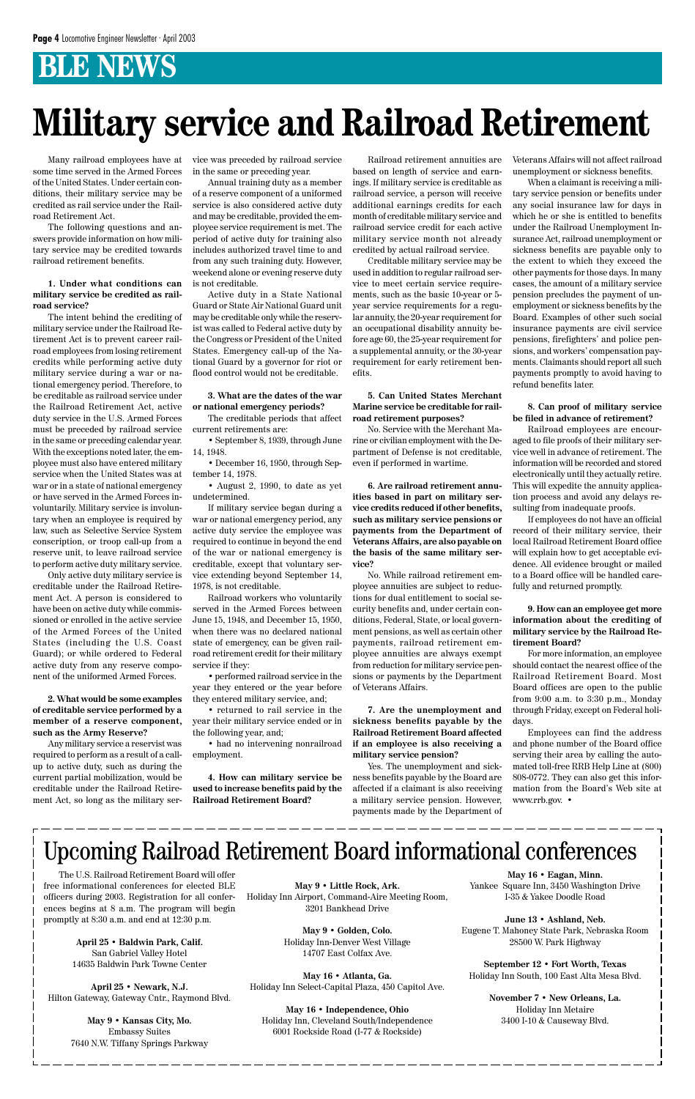Many railroad employees have at some time served in the Armed Forces of the United States. Under certain conditions, their military service may be credited as rail service under the Railroad Retirement Act.

The following questions and answers provide information on how military service may be credited towards railroad retirement benefits.

### **1. Under what conditions can military service be credited as railroad service?**

The intent behind the crediting of military service under the Railroad Retirement Act is to prevent career railroad employees from losing retirement credits while performing active duty military service during a war or national emergency period. Therefore, to be creditable as railroad service under the Railroad Retirement Act, active duty service in the U.S. Armed Forces must be preceded by railroad service in the same or preceding calendar year. With the exceptions noted later, the employee must also have entered military service when the United States was at war or in a state of national emergency or have served in the Armed Forces involuntarily. Military service is involuntary when an employee is required by law, such as Selective Service System conscription, or troop call-up from a reserve unit, to leave railroad service to perform active duty military service.

Only active duty military service is creditable under the Railroad Retirement Act. A person is considered to have been on active duty while commissioned or enrolled in the active service of the Armed Forces of the United States (including the U.S. Coast Guard); or while ordered to Federal active duty from any reserve component of the uniformed Armed Forces.

**2. What would be some examples of creditable service performed by a member of a reserve component, such as the Army Reserve?**

Any military service a reservist was required to perform as a result of a callup to active duty, such as during the current partial mobilization, would be creditable under the Railroad Retirement Act, so long as the military service was preceded by railroad service in the same or preceding year.

Annual training duty as a member of a reserve component of a uniformed service is also considered active duty and may be creditable, provided the employee service requirement is met. The period of active duty for training also includes authorized travel time to and from any such training duty. However, weekend alone or evening reserve duty is not creditable.

Active duty in a State National Guard or State Air National Guard unit may be creditable only while the reservist was called to Federal active duty by the Congress or President of the United States. Emergency call-up of the National Guard by a governor for riot or flood control would not be creditable.

### **3. What are the dates of the war or national emergency periods?**

The creditable periods that affect current retirements are:

• September 8, 1939, through June 14, 1948.

• December 16, 1950, through September 14, 1978.

• August 2, 1990, to date as yet undetermined.

If military service began during a war or national emergency period, any active duty service the employee was required to continue in beyond the end of the war or national emergency is creditable, except that voluntary service extending beyond September 14, 1978, is not creditable.

Railroad workers who voluntarily served in the Armed Forces between June 15, 1948, and December 15, 1950, when there was no declared national state of emergency, can be given railroad retirement credit for their military service if they:

• performed railroad service in the year they entered or the year before they entered military service, and;

• returned to rail service in the year their military service ended or in the following year, and;

• had no intervening nonrailroad employment.

**4. How can military service be used to increase benefits paid by the Railroad Retirement Board?**

Railroad retirement annuities are based on length of service and earnings. If military service is creditable as railroad service, a person will receive additional earnings credits for each month of creditable military service and railroad service credit for each active military service month not already credited by actual railroad service.

Creditable military service may be used in addition to regular railroad service to meet certain service requirements, such as the basic 10-year or 5 year service requirements for a regular annuity, the 20-year requirement for an occupational disability annuity before age 60, the 25-year requirement for a supplemental annuity, or the 30-year requirement for early retirement benefits.

### **5. Can United States Merchant Marine service be creditable for railroad retirement purposes?**

No. Service with the Merchant Marine or civilian employment with the Department of Defense is not creditable, even if performed in wartime.

**6. Are railroad retirement annuities based in part on military service credits reduced if other benefits, such as military service pensions or payments from the Department of Veterans Affairs, are also payable on the basis of the same military service?**

No. While railroad retirement employee annuities are subject to reductions for dual entitlement to social security benefits and, under certain conditions, Federal, State, or local government pensions, as well as certain other payments, railroad retirement employee annuities are always exempt from reduction for military service pensions or payments by the Department of Veterans Affairs.

**7. Are the unemployment and sickness benefits payable by the Railroad Retirement Board affected if an employee is also receiving a military service pension?**

Yes. The unemployment and sickness benefits payable by the Board are affected if a claimant is also receiving a military service pension. However,

Veterans Affairs will not affect railroad unemployment or sickness benefits.

When a claimant is receiving a military service pension or benefits under any social insurance law for days in which he or she is entitled to benefits under the Railroad Unemployment Insurance Act, railroad unemployment or sickness benefits are payable only to the extent to which they exceed the other payments for those days. In many cases, the amount of a military service pension precludes the payment of unemployment or sickness benefits by the Board. Examples of other such social insurance payments are civil service pensions, firefighters' and police pensions, and workers' compensation payments. Claimants should report all such payments promptly to avoid having to refund benefits later.

**8. Can proof of military service be filed in advance of retirement?**

Railroad employees are encouraged to file proofs of their military service well in advance of retirement. The information will be recorded and stored electronically until they actually retire. This will expedite the annuity application process and avoid any delays resulting from inadequate proofs.

If employees do not have an official record of their military service, their local Railroad Retirement Board office will explain how to get acceptable evidence. All evidence brought or mailed to a Board office will be handled carefully and returned promptly.

### **9. How can an employee get more information about the crediting of military service by the Railroad Retirement Board?**

For more information, an employee should contact the nearest office of the Railroad Retirement Board. Most Board offices are open to the public from 9:00 a.m. to 3:30 p.m., Monday through Friday, except on Federal holidays.

Employees can find the address and phone number of the Board office serving their area by calling the automated toll-free RRB Help Line at (800) 808-0772. They can also get this information from the Board's Web site at www.rrb.gov. •

# **Military service and Railroad Retirement**

# Upcoming Railroad Retirement Board informational conferences

The U.S. Railroad Retirement Board will offer free informational conferences for elected BLE officers during 2003. Registration for all conferences begins at 8 a.m. The program will begin promptly at 8:30 a.m. and end at 12:30 p.m.

> **April 25 • Baldwin Park, Calif.** San Gabriel Valley Hotel 14635 Baldwin Park Towne Center

**April 25 • Newark, N.J.** Hilton Gateway, Gateway Cntr., Raymond Blvd.

> **May 9 • Kansas City, Mo.** Embassy Suites 7640 N.W. Tiffany Springs Parkway

**May 9 • Little Rock, Ark.** Holiday Inn Airport, Command-Aire Meeting Room, 3201 Bankhead Drive

> **May 9 • Golden, Colo.** Holiday Inn-Denver West Village 14707 East Colfax Ave.

**May 16 • Atlanta, Ga.** Holiday Inn Select-Capital Plaza, 450 Capitol Ave.

**May 16 • Independence, Ohio** Holiday Inn, Cleveland South/Independence 6001 Rockside Road (I-77 & Rockside)

**May 16 • Eagan, Minn.** Yankee Square Inn, 3450 Washington Drive I-35 & Yakee Doodle Road

**June 13 • Ashland, Neb.** Eugene T. Mahoney State Park, Nebraska Room 28500 W. Park Highway

**September 12 • Fort Worth, Texas** Holiday Inn South, 100 East Alta Mesa Blvd.

> **November 7 • New Orleans, La.** Holiday Inn Metaire 3400 I-10 & Causeway Blvd.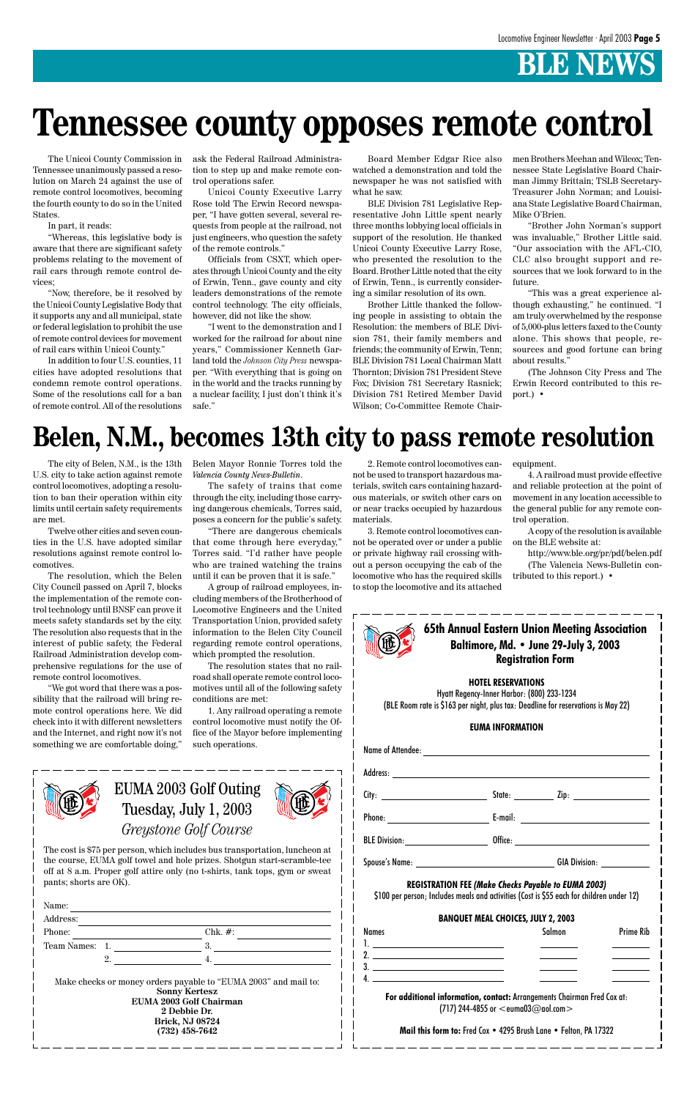### **HOTEL RESERVATIONS**

Name of Attendee: Address: City: <u>City:</u> State: <u>State: Zip:</u> Zip:



Hyatt Regency-Inner Harbor: (800) 233-1234 (BLE Room rate is \$163 per night, plus tax: Deadline for reservations is May 22)

### **EUMA INFORMATION**

|                                       | <b>REGISTRATION FEE (Make Checks Payable to EUMA 2003)</b><br>\$100 per person; Includes meals and activities (Cost is \$55 each for children under 12) |        |                  |
|---------------------------------------|---------------------------------------------------------------------------------------------------------------------------------------------------------|--------|------------------|
|                                       | <b>BANQUET MEAL CHOICES, JULY 2, 2003</b>                                                                                                               |        |                  |
| <b>Names</b>                          |                                                                                                                                                         | Salmon | <b>Prime Rib</b> |
| <u>l. _________________________</u> _ |                                                                                                                                                         |        |                  |
| 2. $\overline{\phantom{a}}$           |                                                                                                                                                         |        |                  |
|                                       |                                                                                                                                                         |        |                  |
|                                       |                                                                                                                                                         |        |                  |
|                                       | For additional information, contact: Arrangements Chairman Fred Cox at:<br>(717) 244-4855 or $<$ euma03@aol.com $>$                                     |        |                  |
|                                       | Mail this form to: Fred Cox • 4295 Brush Lane • Felton, PA 17322                                                                                        |        |                  |

EUMA 2003 Golf Outing Tuesday, July 1, 2003



| <b>Obth Annual Eastern Union Meeting Associano</b><br>Baltimore. Md . Integrated the Second Design |
|----------------------------------------------------------------------------------------------------|
|                                                                                                    |
| <b>Registration Form</b>                                                                           |
|                                                                                                    |

1. 2. 3. 4.



### *Greystone Golf Course*

The cost is \$75 per person, which includes bus transportation, luncheon at the course, EUMA golf towel and hole prizes. Shotgun start-scramble-tee off at 8 a.m. Proper golf attire only (no t-shirts, tank tops, gym or sweat pants; shorts are OK).

| Address:    |                  |                                                                                         |
|-------------|------------------|-----------------------------------------------------------------------------------------|
| Phone:      |                  | $Chk. \#$ :                                                                             |
| Team Names: |                  | 3.                                                                                      |
|             | $\overline{2}$ . |                                                                                         |
|             |                  | Make checks or money orders payable to "EUMA 2003" and mail to:<br><b>Sonny Kertesz</b> |

The Unicoi County Commission in Tennessee unanimously passed a resolution on March 24 against the use of remote control locomotives, becoming the fourth county to do so in the United States.

In part, it reads:

"Whereas, this legislative body is aware that there are significant safety problems relating to the movement of rail cars through remote control devices;

"Now, therefore, be it resolved by the Unicoi County Legislative Body that it supports any and all municipal, state or federal legislation to prohibit the use of remote control devices for movement of rail cars within Unicoi County."

In addition to four U.S. counties, 11 cities have adopted resolutions that condemn remote control operations. Some of the resolutions call for a ban of remote control. All of the resolutions ask the Federal Railroad Administration to step up and make remote control operations safer.

Unicoi County Executive Larry Rose told The Erwin Record newspaper, "I have gotten several, several requests from people at the railroad, not just engineers, who question the safety of the remote controls."

Officials from CSXT, which operates through Unicoi County and the city of Erwin, Tenn., gave county and city leaders demonstrations of the remote control technology. The city officials, however, did not like the show.

"I went to the demonstration and I worked for the railroad for about nine years," Commissioner Kenneth Garland told the *Johnson City Press* newspaper. "With everything that is going on in the world and the tracks running by a nuclear facility, I just don't think it's safe."

Board Member Edgar Rice also watched a demonstration and told the newspaper he was not satisfied with what he saw.

BLE Division 781 Legislative Representative John Little spent nearly three months lobbying local officials in support of the resolution. He thanked Unicoi County Executive Larry Rose, who presented the resolution to the Board. Brother Little noted that the city of Erwin, Tenn., is currently considering a similar resolution of its own.

Brother Little thanked the following people in assisting to obtain the Resolution: the members of BLE Division 781, their family members and friends; the community of Erwin, Tenn; BLE Division 781 Local Chairman Matt Thornton; Division 781 President Steve Fox; Division 781 Secretary Rasnick; Division 781 Retired Member David Wilson; Co-Committee Remote Chairmen Brothers Meehan and Wilcox; Tennessee State Legislative Board Chairman Jimmy Brittain; TSLB Secretary-Treasurer John Norman; and Louisiana State Legislative Board Chairman, Mike O'Brien.

"Brother John Norman's support was invaluable," Brother Little said. "Our association with the AFL-CIO, CLC also brought support and resources that we look forward to in the future.

"This was a great experience although exhausting," he continued. "I am truly overwhelmed by the response of 5,000-plus letters faxed to the County alone. This shows that people, resources and good fortune can bring about results."

(The Johnson City Press and The Erwin Record contributed to this report.) •

# **Tennessee county opposes remote control**

# **Belen, N.M., becomes 13th city to pass remote resolution**

The city of Belen, N.M., is the 13th U.S. city to take action against remote control locomotives, adopting a resolution to ban their operation within city limits until certain safety requirements are met.

Twelve other cities and seven counties in the U.S. have adopted similar resolutions against remote control locomotives.

The resolution, which the Belen City Council passed on April 7, blocks the implementation of the remote control technology until BNSF can prove it meets safety standards set by the city. The resolution also requests that in the interest of public safety, the Federal Railroad Administration develop comprehensive regulations for the use of remote control locomotives.

"We got word that there was a possibility that the railroad will bring remote control operations here. We did check into it with different newsletters and the Internet, and right now it's not something we are comfortable doing,"

Belen Mayor Ronnie Torres told the *Valencia County News-Bulletin*.

The safety of trains that come through the city, including those carrying dangerous chemicals, Torres said, poses a concern for the public's safety.

"There are dangerous chemicals that come through here everyday," Torres said. "I'd rather have people who are trained watching the trains until it can be proven that it is safe."

A group of railroad employees, including members of the Brotherhood of Locomotive Engineers and the United Transportation Union, provided safety information to the Belen City Council regarding remote control operations, which prompted the resolution.

The resolution states that no railroad shall operate remote control locomotives until all of the following safety conditions are met:

1. Any railroad operating a remote control locomotive must notify the Office of the Mayor before implementing such operations.

2. Remote control locomotives cannot be used to transport hazardous materials, switch cars containing hazardous materials, or switch other cars on or near tracks occupied by hazardous materials.

3. Remote control locomotives cannot be operated over or under a public or private highway rail crossing without a person occupying the cab of the locomotive who has the required skills to stop the locomotive and its attached

equipment.

4. A railroad must provide effective and reliable protection at the point of movement in any location accessible to the general public for any remote control operation.

A copy of the resolution is available on the BLE website at:

http://www.ble.org/pr/pdf/belen.pdf (The Valencia News-Bulletin contributed to this report.) •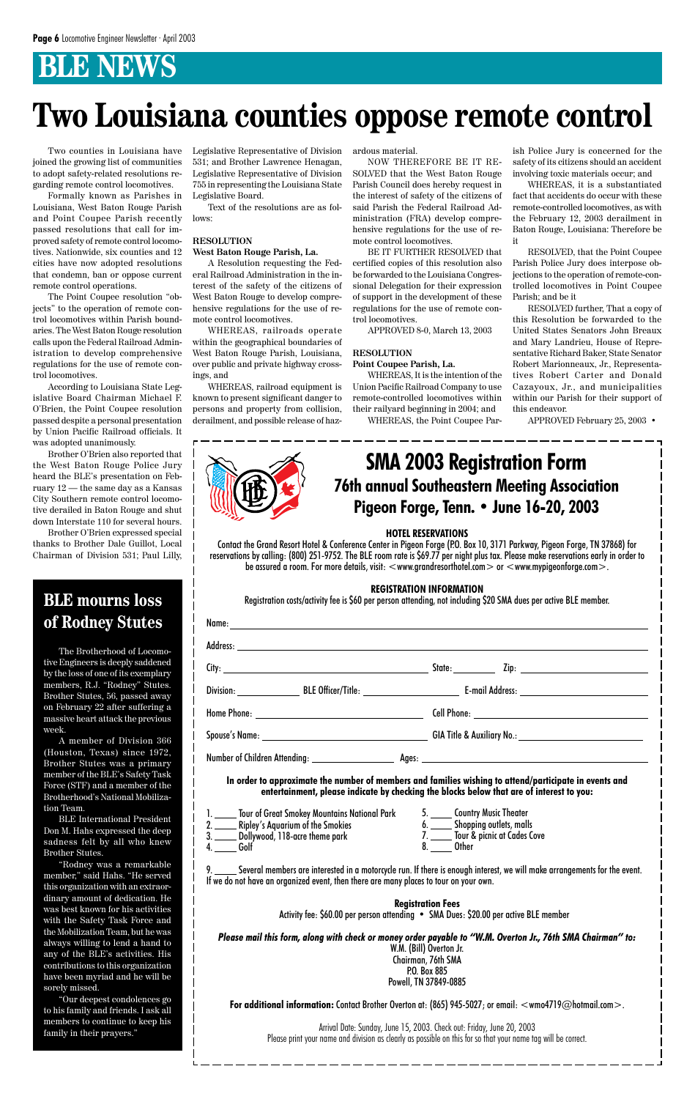Contact the Grand Resort Hotel & Conference Center in Pigeon Forge (P.O. Box 10, 3171 Parkway, Pigeon Forge, TN 37868) for reservations by calling: (800) 251-9752. The BLE room rate is \$69.77 per night plus tax. Please make reservations early in order to be assured a room. For more details, visit:  $\lt$ www.grandresorthotel.com $>$  or  $\lt$ www.mypigeonforge.com $>$ .

# **76th annual Southeastern Meeting Association Pigeon Forge, Tenn. • June 16-20, 2003 SMA 2003 Registration Form**

### **HOTEL RESERVATIONS**

### **REGISTRATION INFORMATION**

1. Tour of Great Smokey Mountains National Park 2. Ripley's Aquarium of the Smokies 3. Dollywood, 118-acre theme park 4. Golf

Registration costs/activity fee is \$60 per person attending, not including \$20 SMA dues per active BLE member.

| the contract of the contract of the contract of the contract of the contract of the contract of the contract of |
|-----------------------------------------------------------------------------------------------------------------|

9. Several members are interested in a motorcycle run. If there is enough interest, we will make arrangements for the event. If we do not have an organized event, then there are many places to tour on your own.

**In order to approximate the number of members and families wishing to attend/participate in events and entertainment, please indicate by checking the blocks below that are of interest to you:**

> 5. Country Music Theater 6. Shopping outlets, malls 7. \_\_\_\_\_ Tour & picnic at Cades Cove 8. Other

**Registration Fees** Activity fee: \$60.00 per person attending • SMA Dues: \$20.00 per active BLE member

*Please mail this form, along with check or money order payable to "W.M. Overton Jr., 76th SMA Chairman" to:* W.M. (Bill) Overton Jr. Chairman, 76th SMA P.O. Box 885 Powell, TN 37849-0885

**For additional information:** Contact Brother Overton at: (865) 945-5027; or email:  $\lt$ wmo4719@hotmail.com>.

Arrival Date: Sunday, June 15, 2003. Check out: Friday, June 20, 2003 Please print your name and division as clearly as possible on this for so that your name tag will be correct.

Two counties in Louisiana have joined the growing list of communities to adopt safety-related resolutions regarding remote control locomotives.

Formally known as Parishes in Louisiana, West Baton Rouge Parish and Point Coupee Parish recently passed resolutions that call for improved safety of remote control locomotives. Nationwide, six counties and 12 cities have now adopted resolutions that condemn, ban or oppose current remote control operations.

The Point Coupee resolution "objects" to the operation of remote control locomotives within Parish boundaries. The West Baton Rouge resolution calls upon the Federal Railroad Administration to develop comprehensive regulations for the use of remote control locomotives.

According to Louisiana State Legislative Board Chairman Michael F. O'Brien, the Point Coupee resolution passed despite a personal presentation by Union Pacific Railroad officials. It was adopted unanimously.

Brother O'Brien also reported that the West Baton Rouge Police Jury heard the BLE's presentation on February 12 — the same day as a Kansas City Southern remote control locomotive derailed in Baton Rouge and shut down Interstate 110 for several hours.

Brother O'Brien expressed special thanks to Brother Dale Guillot, Local Chairman of Division 531; Paul Lilly,

Legislative Representative of Division 531; and Brother Lawrence Henagan, Legislative Representative of Division 755 in representing the Louisiana State Legislative Board.

Text of the resolutions are as follows:

### **RESOLUTION West Baton Rouge Parish, La.**

A Resolution requesting the Federal Railroad Administration in the interest of the safety of the citizens of West Baton Rouge to develop comprehensive regulations for the use of remote control locomotives.

WHEREAS, railroads operate within the geographical boundaries of West Baton Rouge Parish, Louisiana, over public and private highway crossings, and

WHEREAS, railroad equipment is known to present significant danger to persons and property from collision, derailment, and possible release of hazardous material.

NOW THEREFORE BE IT RE-SOLVED that the West Baton Rouge Parish Council does hereby request in the interest of safety of the citizens of said Parish the Federal Railroad Administration (FRA) develop comprehensive regulations for the use of remote control locomotives.

BE IT FURTHER RESOLVED that certified copies of this resolution also be forwarded to the Louisiana Congressional Delegation for their expression of support in the development of these regulations for the use of remote control locomotives.

APPROVED 8-0, March 13, 2003

### **RESOLUTION**

### **Point Coupee Parish, La.**

WHEREAS, It is the intention of the Union Pacific Railroad Company to use remote-controlled locomotives within their railyard beginning in 2004; and

WHEREAS, the Point Coupee Par-

ish Police Jury is concerned for the safety of its citizens should an accident involving toxic materials occur; and

WHEREAS, it is a substantiated fact that accidents do occur with these remote-controlled locomotives, as with the February 12, 2003 derailment in Baton Rouge, Louisiana: Therefore be it

RESOLVED, that the Point Coupee Parish Police Jury does interpose objections to the operation of remote-controlled locomotives in Point Coupee Parish; and be it

RESOLVED further, That a copy of this Resolution be forwarded to the United States Senators John Breaux and Mary Landrieu, House of Representative Richard Baker, State Senator Robert Marionneaux, Jr., Representatives Robert Carter and Donald Cazayoux, Jr., and municipalities within our Parish for their support of this endeavor.

APPROVED February 25, 2003 •



# **Two Louisiana counties oppose remote control**

The Brotherhood of Locomotive Engineers is deeply saddened by the loss of one of its exemplary members, R.J. "Rodney" Stutes. Brother Stutes, 56, passed away on February 22 after suffering a massive heart attack the previous week.

A member of Division 366 (Houston, Texas) since 1972, Brother Stutes was a primary member of the BLE's Safety Task Force (STF) and a member of the Brotherhood's National Mobiliza-

tion Team.

BLE International President Don M. Hahs expressed the deep sadness felt by all who knew Brother Stutes.

"Rodney was a remarkable member," said Hahs. "He served this organization with an extraordinary amount of dedication. He was best known for his activities with the Safety Task Force and the Mobilization Team, but he was always willing to lend a hand to any of the BLE's activities. His contributions to this organization have been myriad and he will be sorely missed.

"Our deepest condolences go to his family and friends. I ask all members to continue to keep his family in their prayers."

### **BLE mourns loss of Rodney Stutes**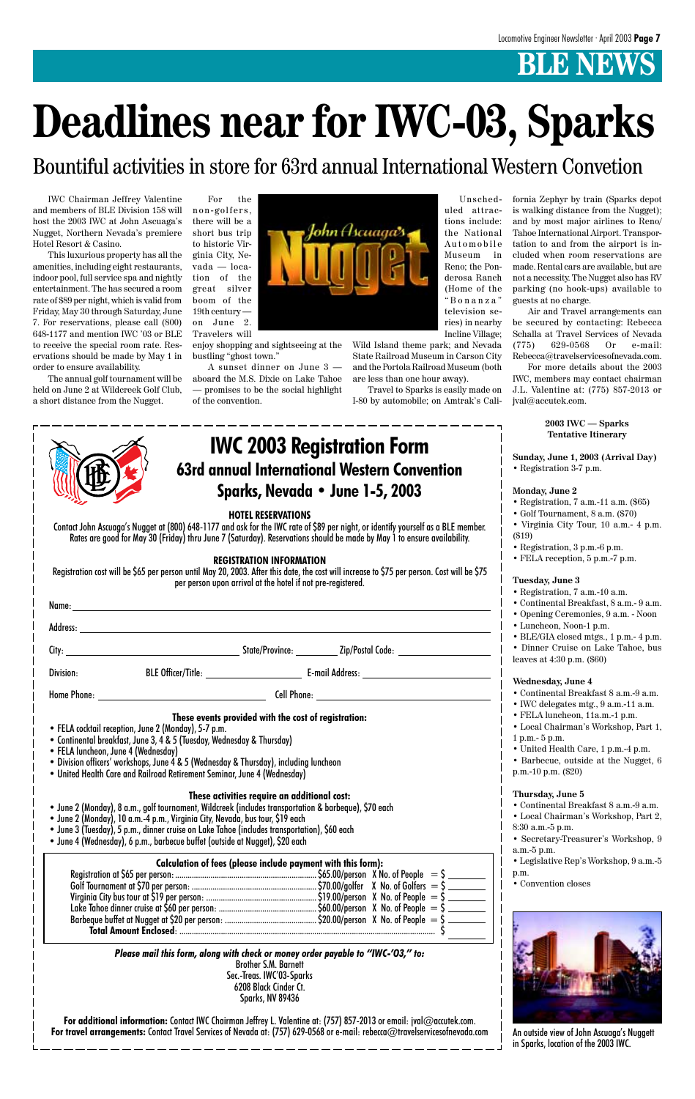IWC Chairman Jeffrey Valentine and members of BLE Division 158 will host the 2003 IWC at John Ascuaga's Nugget, Northern Nevada's premiere Hotel Resort & Casino.

This luxurious property has all the amenities, including eight restaurants, indoor pool, full service spa and nightly entertainment. The has secured a room rate of \$89 per night, which is valid from Friday, May 30 through Saturday, June 7. For reservations, please call (800) 648-1177 and mention IWC '03 or BLE to receive the special room rate. Reservations should be made by May 1 in order to ensure availability.

The annual golf tournament will be held on June 2 at Wildcreek Golf Club, a short distance from the Nugget.

For the

non-golfers, there will be a short bus trip to historic Virginia City, Nevada — location of the great silver boom of the 19th century on June 2. Travelers will

enjoy shopping and sightseeing at the bustling "ghost town."

A sunset dinner on June 3 aboard the M.S. Dixie on Lake Tahoe — promises to be the social highlight of the convention.

Unscheduled attractions include: the National Automobile Museum in Reno; the Ponderosa Ranch (Home of the "Bonanza" television series) in nearby Incline Village;

Wild Island theme park; and Nevada State Railroad Museum in Carson City and the Portola Railroad Museum (both are less than one hour away).

Travel to Sparks is easily made on I-80 by automobile; on Amtrak's Cali-

fornia Zephyr by train (Sparks depot is walking distance from the Nugget); and by most major airlines to Reno/ Tahoe International Airport. Transportation to and from the airport is included when room reservations are made. Rental cars are available, but are not a necessity. The Nugget also has RV parking (no hook-ups) available to guests at no charge.

Air and Travel arrangements can be secured by contacting: Rebecca Schalla at Travel Services of Nevada (775) 629-0568 Or e-mail: Rebecca@travelservicesofnevada.com.

For more details about the 2003 IWC, members may contact chairman J.L. Valentine at: (775) 857-2013 or jval@accutek.com.

### **2003 IWC — Sparks Tentative Itinerary**

**Sunday, June 1, 2003 (Arrival Day)** • Registration 3-7 p.m.

### **Monday, June 2**

- Registration, 7 a.m.-11 a.m. (\$65)
- Golf Tournament, 8 a.m. (\$70)
- Virginia City Tour, 10 a.m.- 4 p.m. (\$19)
- Registration, 3 p.m.-6 p.m.
- FELA reception, 5 p.m.-7 p.m.

### **Tuesday, June 3**

- Registration, 7 a.m.-10 a.m.
- Continental Breakfast, 8 a.m.- 9 a.m.
- Opening Ceremonies, 9 a.m. Noon
- Luncheon, Noon-1 p.m.
- BLE/GIA closed mtgs., 1 p.m.- 4 p.m.

• Dinner Cruise on Lake Tahoe, bus leaves at 4:30 p.m. (\$60)

### **Wednesday, June 4**

- Continental Breakfast 8 a.m.-9 a.m.
- IWC delegates mtg., 9 a.m.-11 a.m.
- FELA luncheon, 11a.m.-1 p.m.
- Local Chairman's Workshop, Part 1,
- 1 p.m.- 5 p.m.
- United Health Care, 1 p.m.-4 p.m.
- Barbecue, outside at the Nugget, 6 p.m.-10 p.m. (\$20)
- **Thursday, June 5**

• Continental Breakfast 8 a.m.-9 a.m.

| Contact John Ascuaga's Nugget at (80<br>Rates are good for May 30 (Fride |  |
|--------------------------------------------------------------------------|--|

• Local Chairman's Workshop, Part 2,

8:30 a.m.-5 p.m.

- Secretary-Treasurer's Workshop, 9 a.m.-5 p.m.
- Legislative Rep's Workshop, 9 a.m.-5 p.m.
- Convention closes

# **Deadlines near for IWC-03, Sparks**

### **HOTEL RESERVATIONS**

10) 648-1177 and ask for the IWC rate of \$89 per night, or identify yourself as a BLE member. ay) thru June 7 (Saturday). Reservations should be made by May 1 to ensure availability.

### **REGISTRATION INFORMATION**

Registration cost will be \$65 per person until May 20, 2003. After this date, the cost will increase to \$75 per person. Cost will be \$75 per person upon arrival at the hotel if not pre-registered.

Name: Address: City: State/Province: Zip/Postal Code: Division: BLE Officer/Title: Character League Lemail Address: Character Character Blue Blue Division: Home Phone: Cell Phone: **These events provided with the cost of registration:** • FELA cocktail reception, June 2 (Monday), 5-7 p.m. • Continental breakfast, June 3, 4 & 5 (Tuesday, Wednesday & Thursday) • FELA luncheon, June 4 (Wednesday)

• Division officers' workshops, June 4 & 5 (Wednesday & Thursday), including luncheon

• United Health Care and Railroad Retirement Seminar, June 4 (Wednesday)

**These activities require an additional cost:**

- June 2 (Monday), 8 a.m., golf tournament, Wildcreek (includes transportation & barbeque), \$70 each
- June 2 (Monday), 10 a.m.-4 p.m., Virginia City, Nevada, bus tour, \$19 each
- June 3 (Tuesday), 5 p.m., dinner cruise on Lake Tahoe (includes transportation), \$60 each
- June 4 (Wednesday), 6 p.m., barbecue buffet (outside at Nugget), \$20 each

| Calculation of fees (please include payment with this form): |  |  |  |  |
|--------------------------------------------------------------|--|--|--|--|
|                                                              |  |  |  |  |
|                                                              |  |  |  |  |
|                                                              |  |  |  |  |
|                                                              |  |  |  |  |
|                                                              |  |  |  |  |
|                                                              |  |  |  |  |

*Please mail this form, along with check or money order payable to "IWC-'O3," to:* Brother S.M. Barnett Sec.-Treas. IWC'03-Sparks 6208 Black Cinder Ct. Sparks, NV 89436

**For additional information:** Contact IWC Chairman Jeffrey L. Valentine at: (757) 857-2013 or email: jval@accutek.com. **For travel arrangements:** Contact Travel Services of Nevada at: (757) 629-0568 or e-mail: rebecca@travelservicesofnevada.com

### **63rd annual International Western Convention Sparks, Nevada • June 1-5, 2003 IWC 2003 Registration Form**



An outside view of John Ascuaga's Nuggett in Sparks, location of the 2003 IWC.

Bountiful activities in store for 63rd annual International Western Convetion

John Ascuaga<sup>s</sup>s